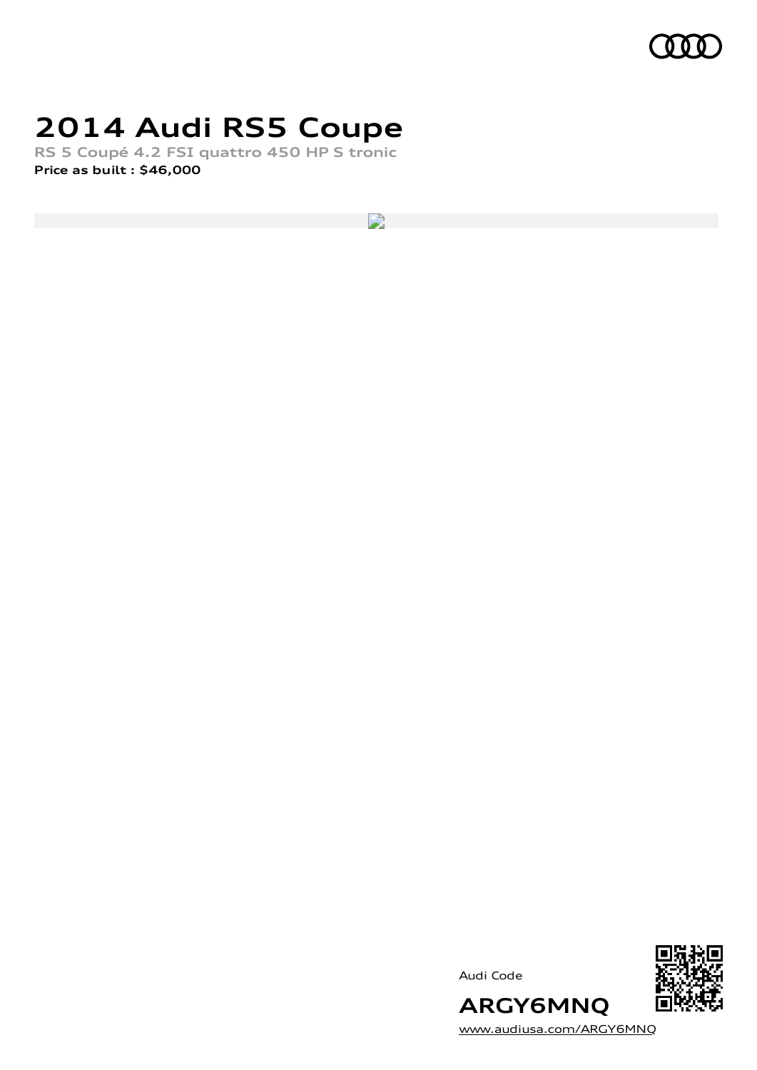

# **2014 Audi RS5 Coupe**

**RS 5 Coupé 4.2 FSI quattro 450 HP S tronic Price as built [:](#page-9-0) \$46,000**

 $\overline{\phantom{a}}$ 





[www.audiusa.com/ARGY6MNQ](https://www.audiusa.com/ARGY6MNQ)

**ARGY6MNQ**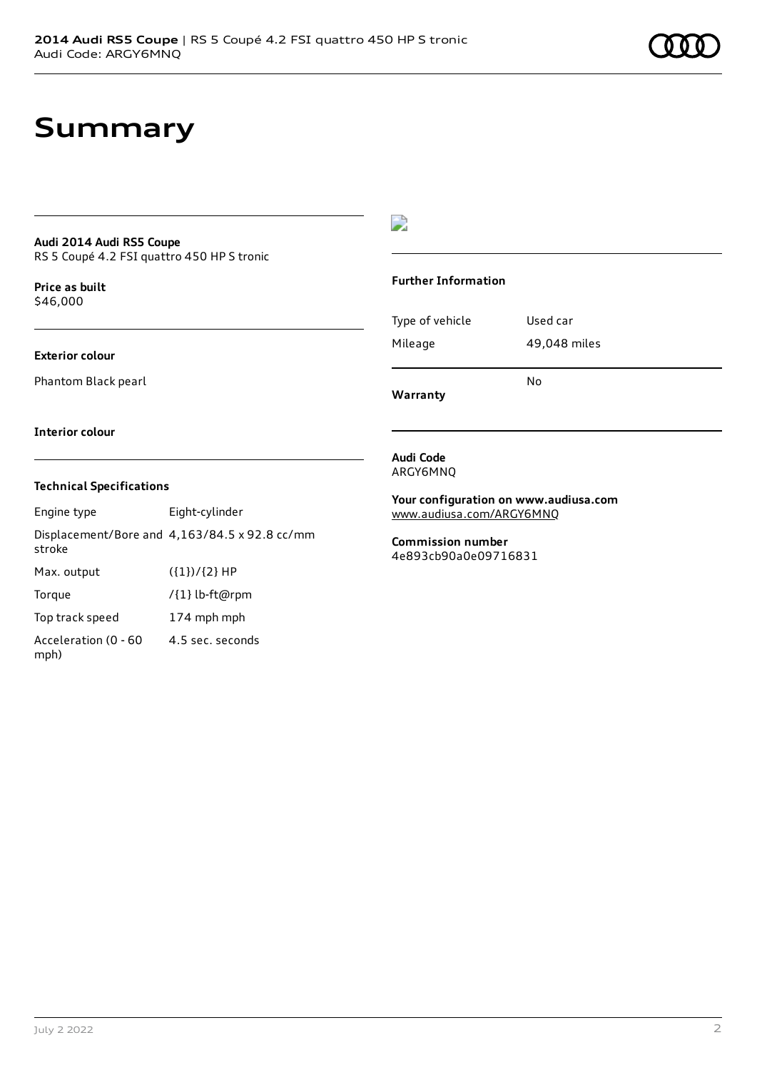# **Summary**

#### **Audi 2014 Audi RS5 Coupe** RS 5 Coupé 4.2 FSI quattro 450 HP S tronic

**Price as buil[t](#page-9-0)** \$46,000

### **Exterior colour**

Phantom Black pearl

### $\overline{\phantom{a}}$

#### **Further Information**

|                 | N٥           |
|-----------------|--------------|
| Mileage         | 49,048 miles |
| Type of vehicle | Used car     |

**Warranty**

#### **Interior colour**

### **Technical Specifications**

| Engine type                  | Eight-cylinder                                       |
|------------------------------|------------------------------------------------------|
| stroke                       | Displacement/Bore and $4,163/84.5 \times 92.8$ cc/mm |
| Max. output                  | $({1})/{2}$ HP                                       |
| Torque                       | /{1} lb-ft@rpm                                       |
| Top track speed              | 174 mph mph                                          |
| Acceleration (0 - 60<br>mph) | 4.5 sec. seconds                                     |

#### **Audi Code** ARGY6MNQ

**Your configuration on www.audiusa.com** [www.audiusa.com/ARGY6MNQ](https://www.audiusa.com/ARGY6MNQ)

**Commission number** 4e893cb90a0e09716831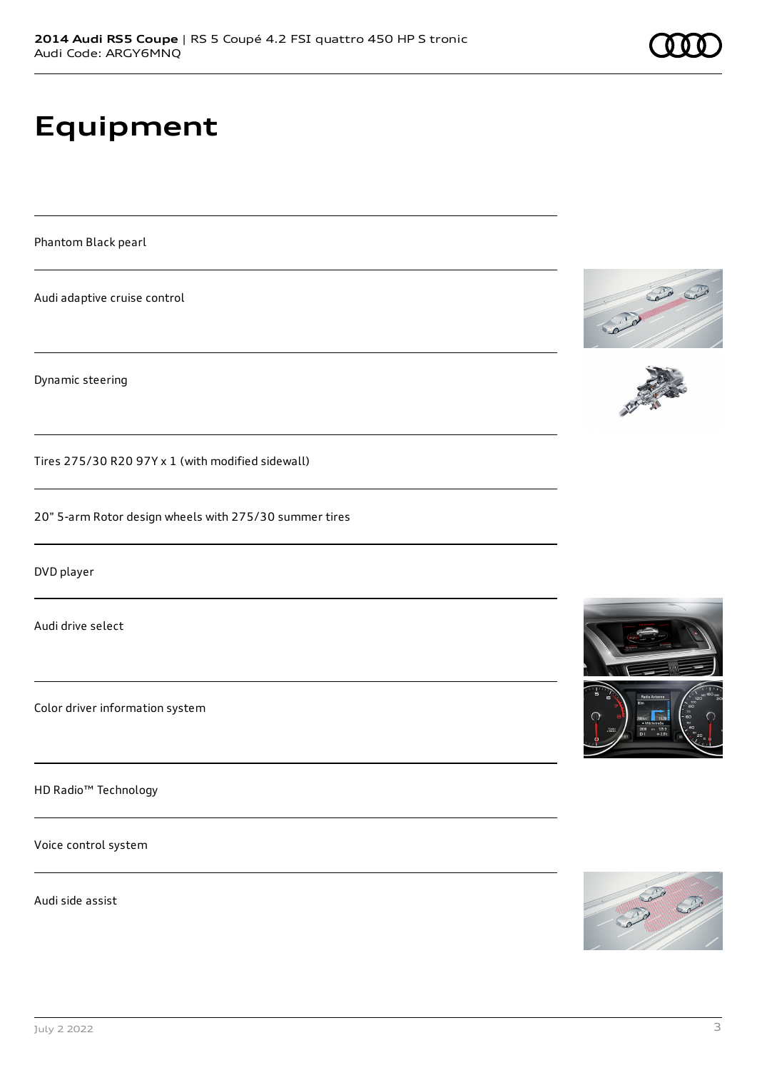# **Equipment**

Phantom Black pearl

Audi adaptive cruise control

Dynamic steering

Tires 275/30 R20 97Y x 1 (with modified sidewall)

20" 5-arm Rotor design wheels with 275/30 summer tires

DVD player

Audi drive select

Color driver information system

HD Radio™ Technology

Voice control system

Audi side assist







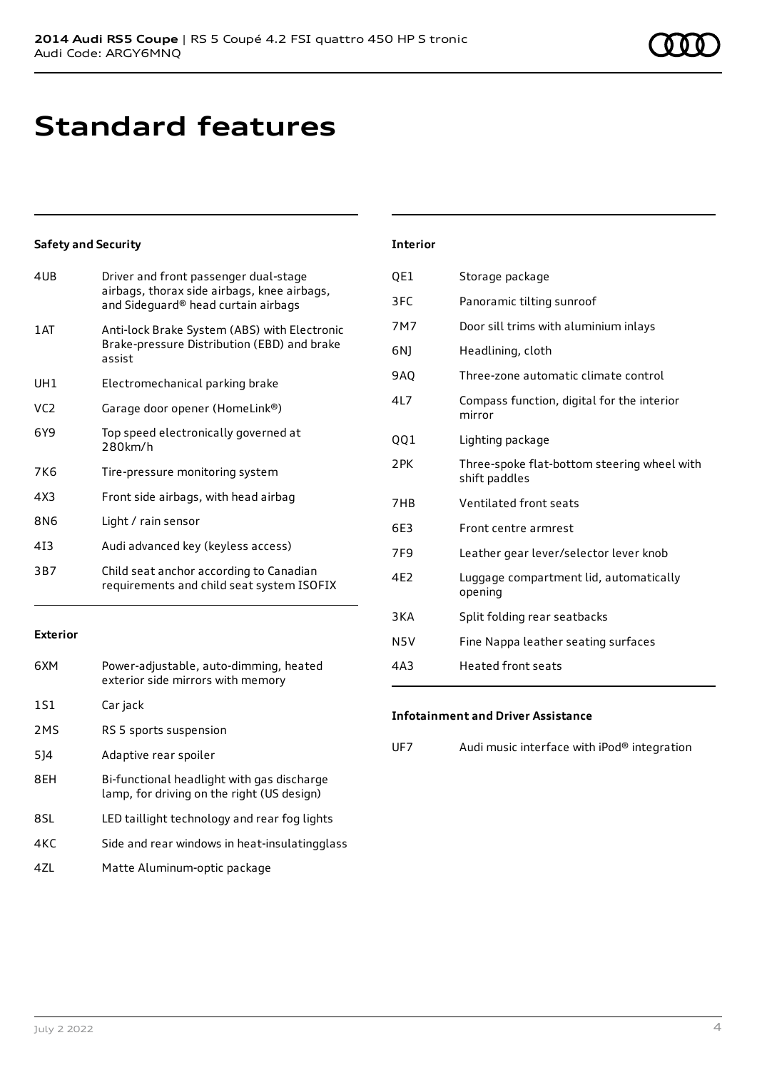# **Standard features**

### **Safety and Security**

| 4UB             | Driver and front passenger dual-stage<br>airbags, thorax side airbags, knee airbags,<br>and Sideguard® head curtain airbags |
|-----------------|-----------------------------------------------------------------------------------------------------------------------------|
| 1AT             | Anti-lock Brake System (ABS) with Electronic<br>Brake-pressure Distribution (EBD) and brake<br>assist                       |
| UH1             | Electromechanical parking brake                                                                                             |
| VC <sub>2</sub> | Garage door opener (HomeLink®)                                                                                              |
| 6Y9             | Top speed electronically governed at<br>280km/h                                                                             |
| 7K6             | Tire-pressure monitoring system                                                                                             |
| 4X3             | Front side airbags, with head airbag                                                                                        |
| 8N6             | Light / rain sensor                                                                                                         |
| 413             | Audi advanced key (keyless access)                                                                                          |
| 3B7             | Child seat anchor according to Canadian<br>requirements and child seat system ISOFIX                                        |
|                 |                                                                                                                             |

### **Exterior**

| 6XM | Power-adjustable, auto-dimming, heated<br>exterior side mirrors with memory              |
|-----|------------------------------------------------------------------------------------------|
| 1S1 | Car jack                                                                                 |
| 2MS | RS 5 sports suspension                                                                   |
| 514 | Adaptive rear spoiler                                                                    |
| 8EH | Bi-functional headlight with gas discharge<br>lamp, for driving on the right (US design) |
| 8SL | LED taillight technology and rear fog lights                                             |
| 4KC | Side and rear windows in heat-insulatingglass                                            |
| 47I | Matte Aluminum-optic package                                                             |

### **Interior**

| QE1              | Storage package                                              |
|------------------|--------------------------------------------------------------|
| 3FC              | Panoramic tilting sunroof                                    |
| 7M7              | Door sill trims with aluminium inlays                        |
| 6N)              | Headlining, cloth                                            |
| <b>9AO</b>       | Three-zone automatic climate control                         |
| 417              | Compass function, digital for the interior<br>mirror         |
| 001              | Lighting package                                             |
| 2PK              | Three-spoke flat-bottom steering wheel with<br>shift paddles |
| 7HB              | Ventilated front seats                                       |
| 6E3              | Front centre armrest                                         |
| 7F <sub>9</sub>  | Leather gear lever/selector lever knob                       |
| 4E2              | Luggage compartment lid, automatically<br>opening            |
| 3KA              | Split folding rear seatbacks                                 |
| N <sub>5</sub> V | Fine Nappa leather seating surfaces                          |
| 4A3              | <b>Heated front seats</b>                                    |

#### **Infotainment and Driver Assistance**

UF7 Audi music interface with iPod® integration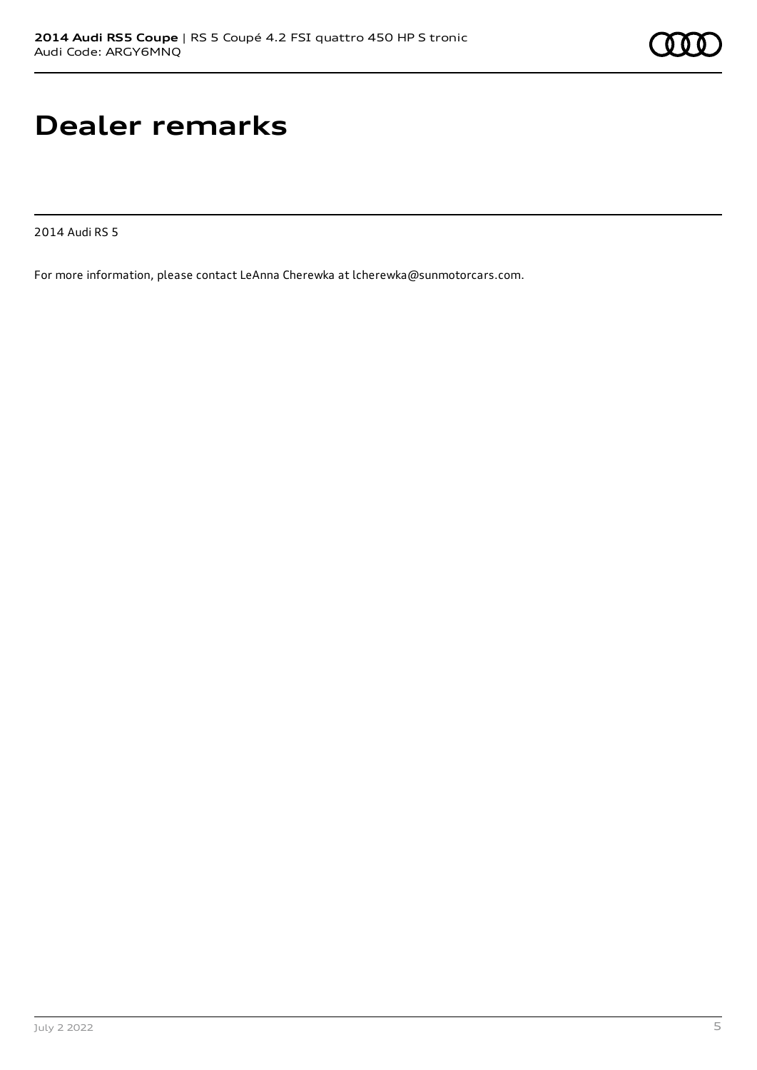# **Dealer remarks**

2014 Audi RS 5

For more information, please contact LeAnna Cherewka at lcherewka@sunmotorcars.com.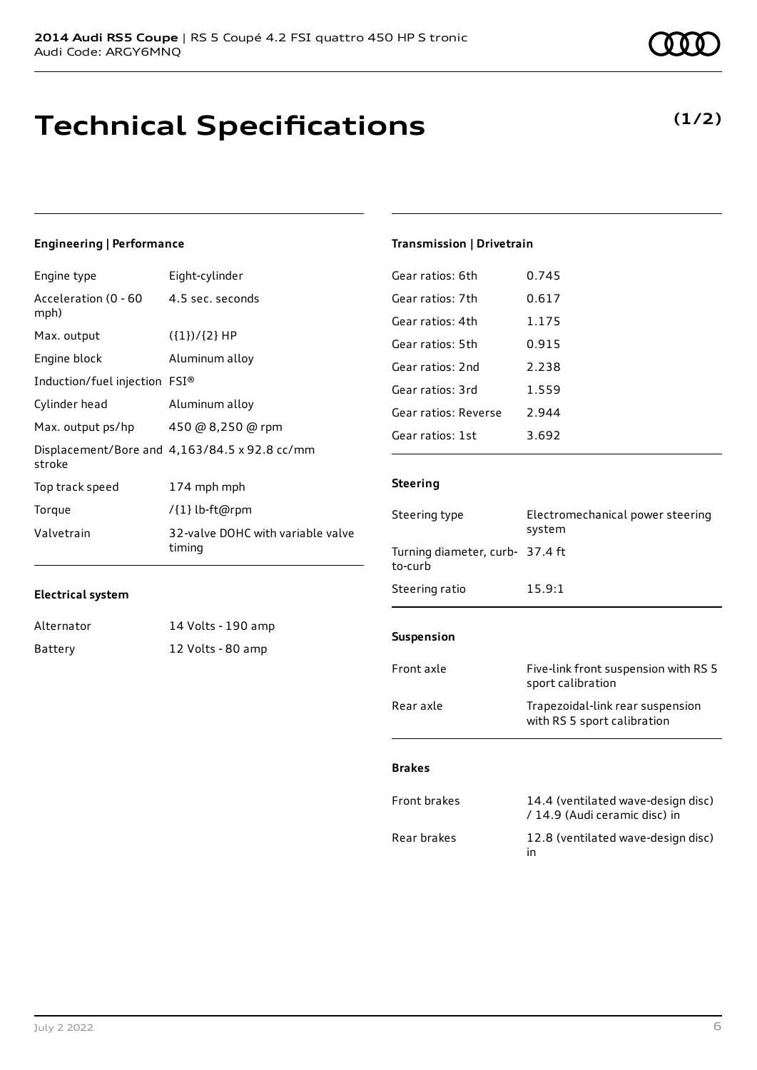# **Technical Specifications**

### **Engineering | Performance**

**Electrical system**

| Engine type                   | Eight-cylinder                                       |
|-------------------------------|------------------------------------------------------|
| Acceleration (0 - 60<br>mph)  | 4.5 sec. seconds                                     |
| Max. output                   | $({1})/{2}$ HP                                       |
| Engine block                  | Aluminum alloy                                       |
| Induction/fuel injection FSI® |                                                      |
| Cylinder head                 | Aluminum alloy                                       |
| Max. output ps/hp             | 450 @ 8,250 @ rpm                                    |
| stroke                        | Displacement/Bore and $4,163/84.5 \times 92.8$ cc/mm |
| Top track speed               | 174 mph mph                                          |
| Torque                        | /{1} lb-ft@rpm                                       |
| Valvetrain                    | 32-valve DOHC with variable valve<br>timing          |

Alternator 14 Volts - 190 amp Battery 12 Volts - 80 amp

### **Transmission | Drivetrain**

| Gear ratios: 6th     | 0.745 |
|----------------------|-------|
| Gear ratios: 7th     | 0.617 |
| Gear ratios: 4th     | 1.175 |
| Gear ratios: 5th     | 0.915 |
| Gear ratios: 2nd     | 2.238 |
| Gear ratios: 3rd     | 1.559 |
| Gear ratios: Reverse | 2.944 |
| Gear ratios: 1st     | 3.692 |

### **Steering**

| Steering type                              | Electromechanical power steering<br>system                          |  |
|--------------------------------------------|---------------------------------------------------------------------|--|
| Turning diameter, curb- 37.4 ft<br>to-curb |                                                                     |  |
| Steering ratio                             | 15.9:1                                                              |  |
| <b>Suspension</b>                          |                                                                     |  |
|                                            |                                                                     |  |
| Front axle                                 | Five-link front suspension with RS 5<br>sport calibration           |  |
| Rear axle                                  | Trapezoidal-link rear suspension<br>with RS 5 sport calibration     |  |
|                                            |                                                                     |  |
| <b>Brakes</b>                              |                                                                     |  |
| <b>Front brakes</b>                        | 14.4 (ventilated wave-design disc)<br>/ 14.9 (Audi ceramic disc) in |  |
| Rear brakes                                | 12.8 (ventilated wave-design disc)                                  |  |

in

### **(1/2)**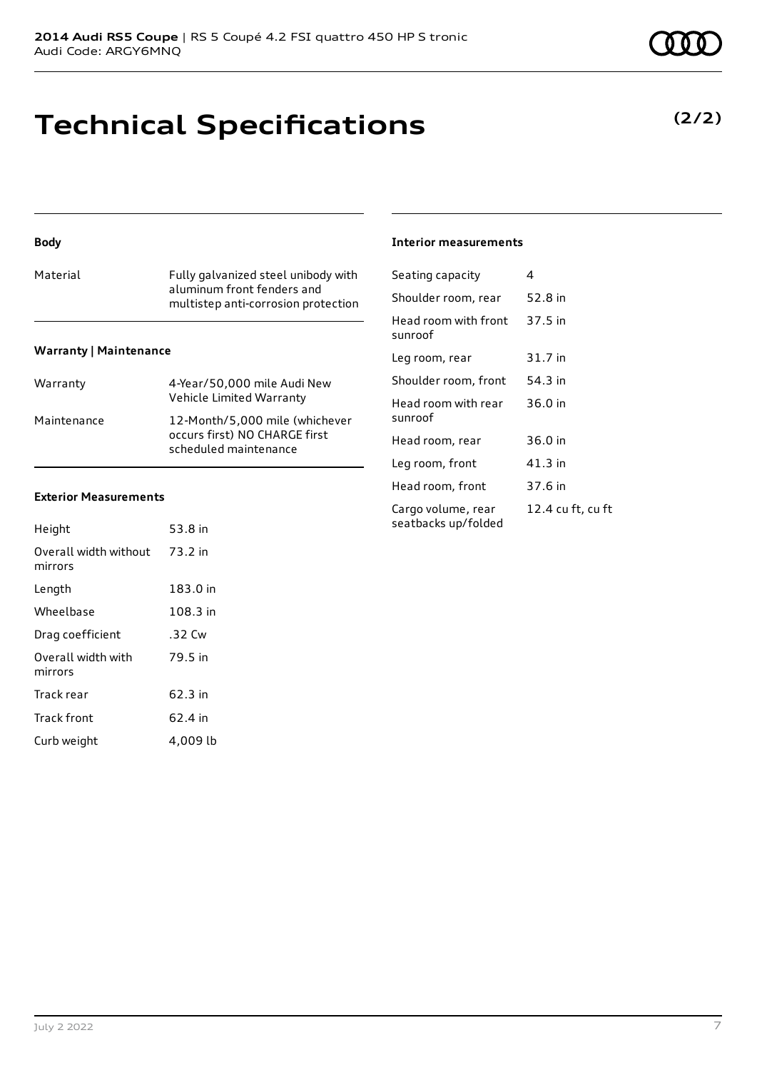# **Technical Specifications**

### **Body**

| aluminum front fenders and | Material | Fully galvanized steel unibody with<br>multistep anti-corrosion protection |
|----------------------------|----------|----------------------------------------------------------------------------|
|----------------------------|----------|----------------------------------------------------------------------------|

### **Warranty | Maintenance**

| Warranty    | 4-Year/50,000 mile Audi New<br>Vehicle Limited Warranty                                  |
|-------------|------------------------------------------------------------------------------------------|
| Maintenance | 12-Month/5,000 mile (whichever<br>occurs first) NO CHARGE first<br>scheduled maintenance |

### **Exterior Measurements**

| Height                           | 53.8 in  |
|----------------------------------|----------|
| Overall width without<br>mirrors | 73.2 in  |
| Length                           | 183.0 in |
| Wheelbase                        | 108.3 in |
| Drag coefficient                 | .32 Cw   |
| Overall width with<br>mirrors    | 79.5 in  |
| Track rear                       | 62.3 in  |
| <b>Track front</b>               | 62.4 in  |
| Curb weight                      | 4.009 lb |

### **Interior measurements**

| Seating capacity                          | 4                 |
|-------------------------------------------|-------------------|
| Shoulder room, rear                       | 52.8 in           |
| Head room with front<br>sunroof           | 37.5 in           |
| Leg room, rear                            | 31.7 in           |
| Shoulder room, front                      | 54.3 in           |
| Head room with rear<br>sunroof            | 36.0 in           |
| Head room, rear                           | 36.0 in           |
| Leg room, front                           | $41.3$ in         |
| Head room, front                          | 37.6 in           |
| Cargo volume, rear<br>seatbacks up/folded | 12.4 cu ft, cu ft |

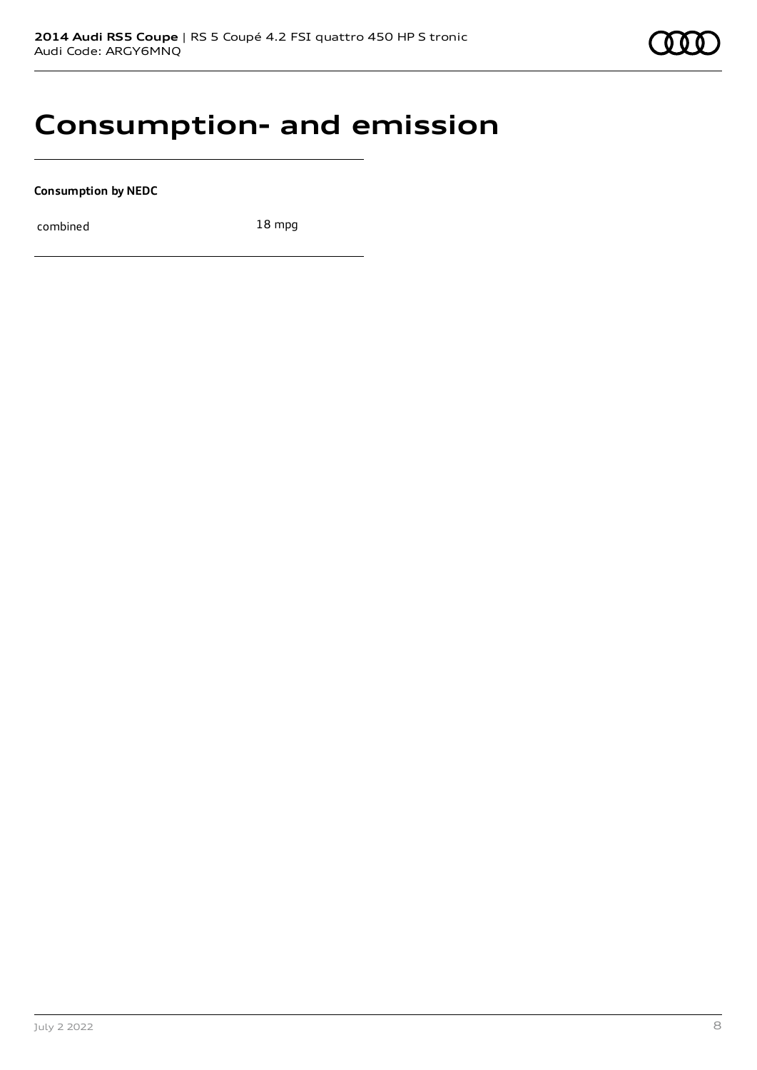### **Consumption- and emission**

**Consumption by NEDC**

combined 18 mpg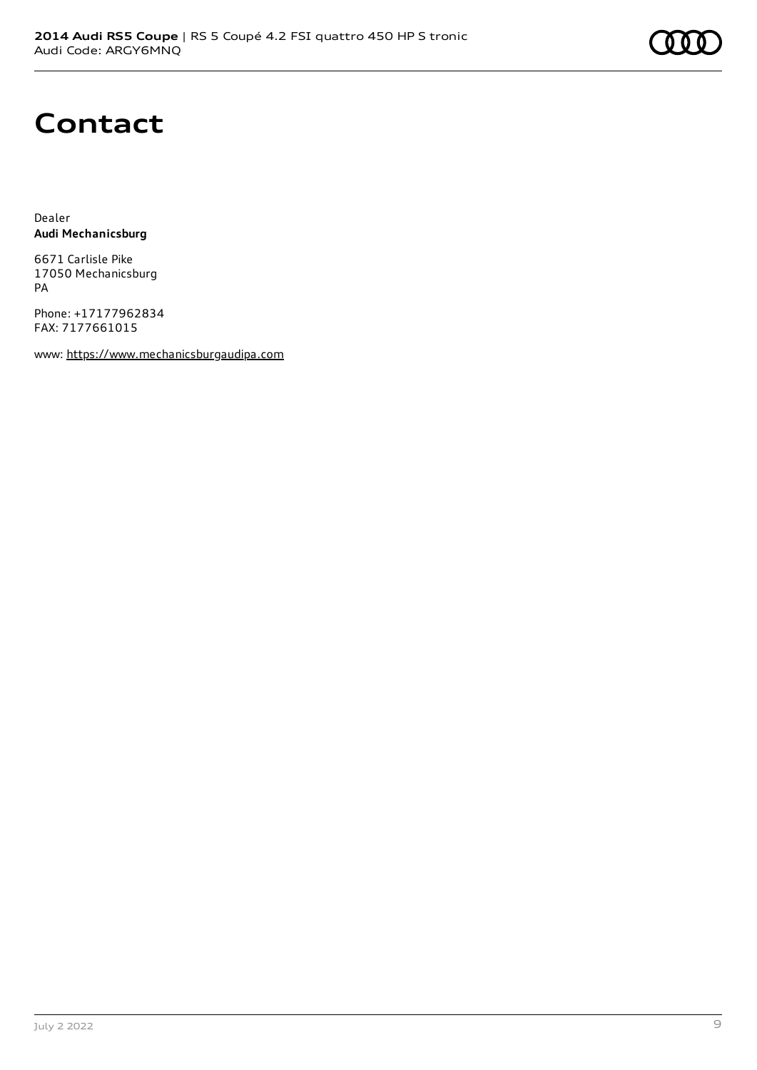

## **Contact**

Dealer **Audi Mechanicsburg**

6671 Carlisle Pike 17050 Mechanicsburg PA

Phone: +17177962834 FAX: 7177661015

www: [https://www.mechanicsburgaudipa.com](https://www.mechanicsburgaudipa.com/)